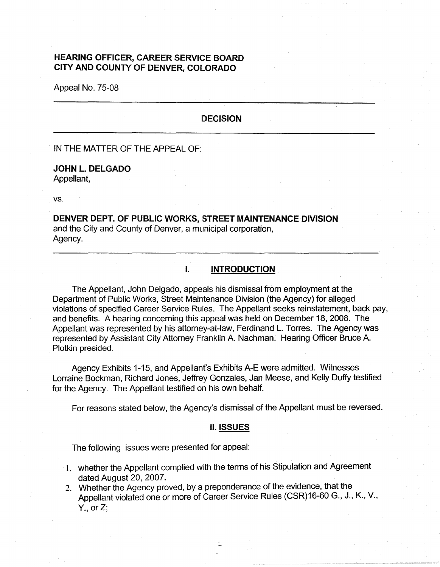# **HEARING OFFICER, CAREER SERVICE BOARD CITY AND COUNTY OF DENVER, COLORADO**

Appeal No. 75-08

### **DECISION**

IN THE MATTER OF THE APPEAL OF:

### **JOHN L. DELGADO**  Appellant,

vs.

## **DENVER DEPT. OF PUBLIC WORKS, STREET MAINTENANCE DIVISION** and the City and County of Denver, a municipal corporation, Agency.

### **I. INTRODUCTION**

The Appellant, John Delgado, appeals his dismissal from employment at the Department of Public Works, Street Maintenance Division (the Agency) for alleged violations of specified Career Service Rules. The Appellant seeks reinstatement, back pay, and benefits. A hearing concerning this appeal was held on December 18, 2008. The Appellant was represented by his attorney-at-law, Ferdinand L. Torres. The Agency was represented by Assistant City Attorney Franklin A. Nachman. Hearing Officer Bruce A. Plotkin presided.

Agency Exhibits 1-15, and Appellant's Exhibits A-E were admitted. Witnesses Lorraine Bockman, Richard Jones, Jeffrey Gonzales, Jan Meese, and Kelly Duffy testified for the Agency. The Appellant testified on his own behalf.

For reasons stated below, the Agency's dismissal of the Appellant must be reversed.

#### II. **ISSUES**

The following issues were presented for appeal:

- 1. whether the Appellant complied wiith the terms of his Stipulation and Agreement dated August 20, 2007.
- 2. Whether the Agency proved, by a preponderance of the evidence, that the Appellant violated one or more of Career Service Rules (CSR)16-60 G., J., K., V.,  $Y_{\cdot}$ , or Z;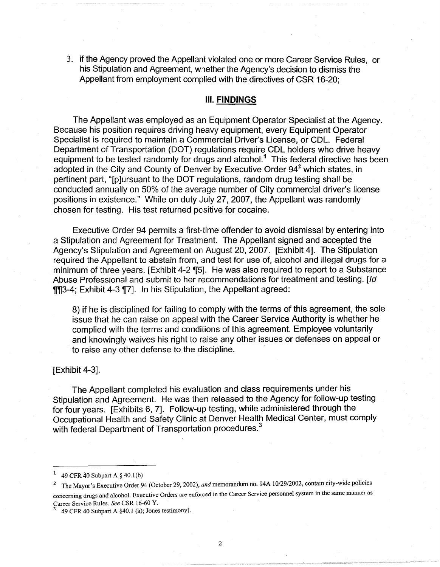3. if the Agency proved the Appellant violated one or more Career Service Rules, or his Stipulation and Agreement, whether the Agency's decision to dismiss the Appellant from employment complied with the directives of CSR 16-20;

### Ill. **FINDINGS**

The Appellant was employed as an Equipment Operator Specialist at the Agency. Because his position requires driving heavy equipment, every Equipment Operator Specialist is required to maintain a Commercial Driver's License, or CDL. Federal Department of Transportation (DOT) regulations require COL holders who drive heavy equipment to be tested randomly for drugs and alcohol.<sup>1</sup> This federal directive has been adopted in the City and County of Denver by Executive Order  $94<sup>2</sup>$  which states, in pertinent part, "[p]ursuant to the DOT regulations, random drug testing shall be conducted annually on 50% of the average number of City commercial driver's license positions in existence." While on duty July 27, 2007, the Appellant was randomly chosen for testing. His test returned positive for cocaine.

Executive Order 94 permits a first-time offender to avoid dismissal by entering into a Stipulation and Agreement for Treatment. The Appellant signed and accepted the Agency's Stipulation and Agreement on August 20, 2007. [Exhibit 4]. The Stipulation required the Appellant to abstain from, and test for use of, alcohol and illegal drugs for a minimum of three years. [Exhibit 4-2 [15]. He was also required to report to a Substance Abuse Professional and submit to her recommendations for treatment and testing. [Id **TIJ3-4; Exhibit 4-3 II7]. In his Stipulation, the Appellant agreed:** 

8) if he is disciplined for failing to comply with the terms of this agreement, the sole issue that he can raise on appeal with the Career Service Authority is whether he complied with the terms and conditions of this agreement. Employee voluntarily and knowingly waives his right to raise any other issues or defenses on appeal or to raise any other defense to the discipline.

### [Exhibit 4-3].

The Appellant completed his evaluation and class requirements under his Stipulation and Agreement. He was then released to the Agency for follow-up testing for four years. [Exhibits 6, 7]. Follow-up testing, while administered through the Occupational Health and Safety Clinic at Denver Health Medical Center, must comply with federal Department of Transportation procedures.<sup>3</sup>

<sup>49</sup> CFR 40 Subpart A § 40.1(b)

<sup>2</sup>The Mayor's Executive Order 94 (October 29, 2002), *and* memorandum no. 94A 10/29/2002, contain city-wide policies concerning drugs and alcohol. Executive Orders are enforced in the Career Service personnel system in the same manner as Career Service Rules. *See* CSR 16-60 Y.

<sup>3</sup>49 CFR 40 Subpart A §40.1 (a); Jones testimony].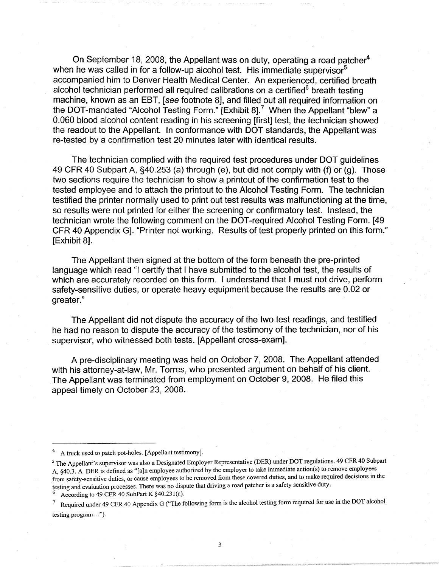On September 18, 2008, the Appellant was on duty, operating a road patcher<sup>4</sup> when he was called in for a follow-up alcohol test. His immediate supervisor<sup>5</sup> accompanied him to Denver Health Medical Center. An experienced, certified breath alcohol technician performed all required calibrations on a certified $6$  breath testing machine, known as an EBT, [see footnote 8], and filled out all required information on the DOT-mandated "Alcohol Testing Form." [Exhibit 8].<sup>7</sup> When the Appellant "blew" a 0.060 blood alcohol content reading in his screening [first] test, the technician showed the readout to the Appellant. In conformance with DOT standards, the Appellant was re-tested by a confirmation test 20 minutes later with identical results.

The technician complied with the required test procedures under DOT guidelines 49 CFR 40 Subpart A, §40.253 (a) through (e), but did not comply with (f) or (g). Those two sections require the technician to show a printout of the confirmation test to the tested employee and to attach the printout to the Alcohol Testing Form. The technician testified the printer normally used to print out test results was malfunctioning at the time, so results were not printed for either the screening or confirmatory test. Instead, the technician wrote the following comment on the DOT-required Alcohol Testing Form. [49 CFR 40 Appendix G]. "Printer not working. Results of test properly printed on this form." [Exhibit 8].

The Appellant then signed at the bottom of the form beneath the pre-printed language which read "I certify that I have submitted to the alcohol test, the results of which are accurately recorded on this form. I understand that I must not drive, perform safety-sensitive duties, or operate heavy equipment because the results are 0.02 or greater."

The Appellant did not dispute the accuracy of the two test readings, and testified he had no reason to dispute the accuracy of the testimony of the technician, nor of his supervisor, who witnessed both tests. [Appellant cross-exam].

A pre-disciplinary meeting was held on October 7, 2008. The Appellant attended with his attorney-at-law, Mr. Torres, who presented argument on behalf of his client. The Appellant was terminated from employment on October 9, 2008. He filed this appeal timely on October 23, 2008.

<sup>4</sup>A truck used to patch pot-holes. [Appellant testimony].

<sup>5</sup> The Appellant's supervisor was also a Designated Employer Representative (DER) under DOT regulations. 49 CFR 40 Subpart A, §40.3. A DER is defined as "[a]n employee authorized by the employer to take immediate action(s) to remove employees from safety-sensitive duties, or cause employees to be removed from these covered duties, and to make required decisions in the testing and evaluation processes. There was no dispute that driving a road patcher is a safety sensitive duty.

According to 49 CFR 40 SubPart K §40.231(a).

<sup>7</sup>Required under 49 CFR 40 Appendix G ("The following form is the alcohol testing form required for use in the DOT alcohol testing program...").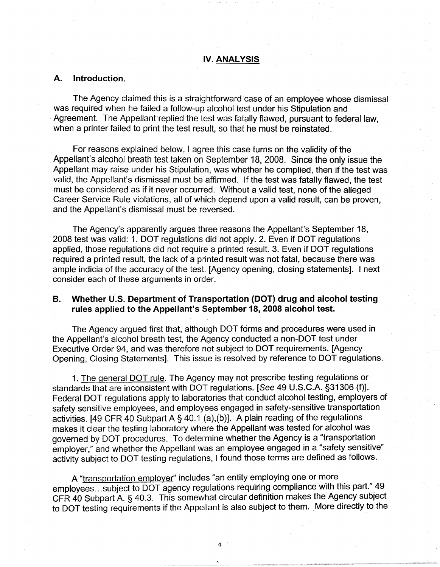### **IV. ANALYSIS**

### **A. Introduction.**

The Agency claimed this is a straightforward case of an employee whose dismissal was required when he failed a follow-up alcohol test under his Stipulation and Agreement. The Appellant replied the test was fatally flawed, pursuant to federal law. when a printer failed to print the test result, so that he must be reinstated.

For reasons explained below, I agree this case turns on the validity of the Appellant's alcohol breath test taken on September 18, 2008. Since the only issue the Appellant may raise under his Stipulation, was whether he complied, then if the test was valid, the Appellant's dismissal must be affirmed. If the test was fatally flawed, the test must be considered as if it never occurred. Without a valid test, none of the alleged Career Service Rule violations, all of which depend upon a valid result, can be proven, and the Appellant's dismissal must be reversed.

The Agency's apparently argues three reasons the Appellant's September 18, 2008 test was valid: 1. DOT regulations did not apply. 2. Even if DOT regulations applied, those regulations did not require a printed result. 3. Even if DOT regulations required a printed result, the lack of a printed result was not fatal, because there was ample indicia of the accuracy of the test. [Agency opening, closing statements]. I next consider each of these arguments in order.

### **B. Whether U.S. Department of Transportation (DOT) drug and alcohol testing rules applied to the Appellant's September 18, 2008 alcohol test.**

The Agency argued first that, although DOT forms and procedures were used in the Appellant's alcohol breath test, the Agency conducted a non-DOT test under Executive Order 94, and was therefore not subject to DOT requirements. [Agency Opening, Closing Statements]. This issue is resolved by reference to DOT regulations.

1. The general DOT rule. The Agency may not prescribe testing regulations or standards that are inconsistent with DOT regulations. [See 49 U.S.C.A. §31306 (f)]. Federal DOT regulations apply to laboratories that conduct alcohol testing, employers of safety sensitive employees, and employees engaged in safety-sensitive transportation activities. [49 CFR 40 Subpart A§ 40.1 (a),(b)]. A plain reading of the regulations makes it clear the testing laboratory where the Appellant was tested for alcohol was governed by DOT procedures. To determine whether the Agency is a "transportation employer," and whether the Appellant was an employee engaged in a "safety sensitive" activity subject to DOT testing regulations, I found those terms are defined as follows.

A "transportation employer" includes "an entity employing one or more employees...subject to DOT agency regulations requiring compliance with this part." 49 CFR 40 Subpart A.§ 40.3. This somewhat circular definition makes the Agency subject to DOT testing requirements if the Appellant is also subject to them. More directly to the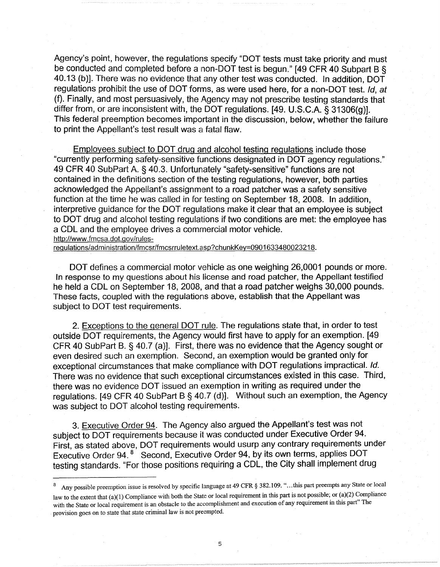Agency's point, however, the regulations specify "DOT tests must take priority and must be conducted and completed before a non-DOT test is begun." [49 CFR 40 Subpart B § 40.13 (b)]. There was no evidence that any other test was conducted. In addition, DOT regulations prohibit the use of DOT forms, as were used here, for a non-DOT test, *Id, at* (f). Finally, and most persuasively, the Agency may not prescribe testing standards that differ from, or are inconsistent with, the DOT regulations. [49. U.S.C.A. § 31306(g)]. This federal preemption becomes important in the discussion, below, whether the failure to print the Appellant's test result was a fatal flaw.

Employees subject to DOT drug and alcohol testing regulations include those "currently performing safety-sensitive functions designated in DOT agency regulations." 49 CFR 40 SubPart A. § 40.3. Unfortunately "safety-sensitive" functions are not contained in the definitions section of the testing regulations, however, both parties acknowledged the Appellant's assignment to a road patcher was a safety sensitive function at the time he was called in for testing on September 18, 2008. In addition, interpretive quidance for the DOT regulations make it clear that an employee is subject to DOT drug and alcohol testing regulations if two conditions are met: the employee has a COL and the employee drives a commercial motor vehicle.

http://www.fmcsa.dot.gov/rules-

regulations/administration/fmcsr/fmcsrruletext.asp?chunkKey=0901633480023218.

DOT defines a commercial motor vehicle as one weighing 26,0001 pounds or more. In response to my questions about his license and road patcher, the Appellant testified he held a CDL on September 18, 2008, and that a road patcher weighs 30,000 pounds. These facts, coupled with the regulations above, establish that the Appellant was subject to DOT test requirements.

2. Exceptions to the general DOT rule. The regulations state that, in order to test outside DOT requirements, the Agency would first have to apply for an exemption. [49 CFR 40 SubPart B. § 40.7 (a)]. First, there was no evidence that the Agency sought or even desired such an exemption. Second, an exemption would be granted only for exceptional circumstances that make compliance with DOT regulations impractical. Id. There was no evidence that such exceptional circumstances existed in this case. Third, there was no evidence DOT issued an exemption in writing as required under the regulations. [49 CFR 40 SubPart B § 40.7 (d)]. Without such an exemption, the Agency was subject to DOT alcohol testing requirements.

3. Executive Order 94. The Agency also argued the Appellant's test was not subject to DOT requirements because it was conducted under Executive Order 94. First, as stated above, DOT requirements would usurp any contrary requirements under Executive Order 94. 8 Second, Executive Order 94, by its own terms, applies DOT testing standards. "For those positions requiring a COL, the City shall implement drug

Any possible preemption issue is resolved by specific language at 49 CFR § 382.109. "...this part preempts any State or local law to the extent that (a)(1) Compliance with both the State or local requirement in this part is not possible; or (a)(2) Compliance with the State or local requirement is an obstacle to the accomplishment and execution of any requirement in this part" The provision goes on to state that state criminal law is not preempted.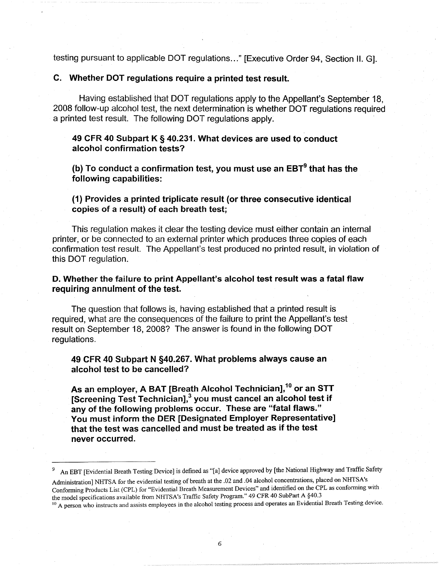testing pursuant to applicable DOT regulations ... " [Executive Order 94, Section II. G].

## **C.** Whether DOT requiations require a printed test result.

Having established that DOT regulations apply to the Appellant's September 18, 2008 follow-up alcohol test, the next determination is whether DOT regulations required a printed test result. The following DOT regulations apply.

## **49 CFR 40 Subpart K** § **40.231. VVhat devices are used to conduct alcohol confirmation tests?**

**(b)** To conduct a confirmation test, you must use an EBT<sup>9</sup> that has the **following capabilities:** 

**(1) Provides a printed triplicate iresult {or three consecutive identical copies of a result) of each breath test;** 

This regulation makes it clear the testing device must either contain an internal printer, or be connected to an external printer which produces three copies of each confirmation test result. The Appellant's test produced no printed result, in violation of this DOT regulation.

## **D. Whether the failure to print Appellant's alcohol test result was a fatal flaw requiring annulment of the test.**

The question that follows is, having established that a printed result is required, what are the consequences of the failure to print the Appellant's test result on September 18, 2008? The answer is found in the following DOT regulations.

# **49 CFR 40 Subpart N §40.267. What problems always cause an alcohol test to be cancelled?**

**As an employer, A BAT [Breath Alcohol Technician],10 or an STT [Screening Test Technician],<sup>3</sup> you must cancel an alcohol test if any of the following problems occur. These are "fatal flaws." You must inform the DER [Designated Employer Representative] that the test was cancelled and must be treated as if the test never occurred.** 

An EBT [Evidential Breath Testing Device] is defined as "[a] device approved by [the National Highway and Traffic Safety

Administration] NHTSA for the evidential testing of breath at the .02 and .04 alcohol concentrations, placed on NHTSA's Conforming Products List (CPL) for "Evidential Breath Measurement Devices" and identified on the CPL as conforming with the model specifications available from NHTSA's Traffic Safety Program." 49 CFR 40 SubPart A §40.3

<sup>&</sup>lt;sup>10</sup> A person who instructs and assists employees in the alcohol testing process and operates an Evidential Breath Testing device.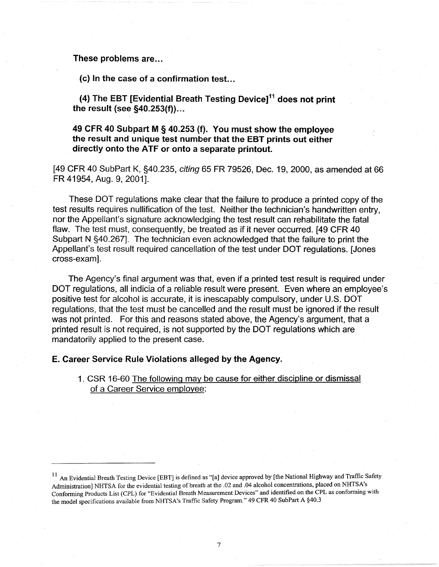### **These problems are ...**

(c) In the case of a confirmation test...

**(4) The EBT [Evidential Breath Testing Device]11 does not print the result (see §40.253(f)) ...** 

**49 CFR 40 Subpart M** § **40.253 (f). You must show the employee the result and unique test number that the EBT prints out either directly onto the ATF or onto a separate printout.** 

[49 CFR 40 SubPart K, §40.235, citing 65 FR 79526, Dec. 19, 2000, as amended at 66 FR 41954, Aug. 9, 2001].

These DOT regulations make clear that the failure to produce a printed copy of the test results requires nullification of the test. Neither the technician's handwritten entry, nor the Appellant's signature acknowledging the test result can rehabilitate the fatal flaw. The test must, consequently, be treated as if it never occurred. [49 CFR 40] Subpart N §40.267]. The technician even acknowledged that the failure to print the Appellant's test result required cancellation of the test under DOT regulations. [Jones cross-exam].

The Agency's final argument was that, even if a printed test result is required under DOT regulations, all indicia of a reliable result were present. Even where an employee's positive test for alcohol is accurate, it is inescapably compulsory, under U.S. DOT regulations, that the test must be cancelled and the result must be ignored if the result was not printed. For this and reasons stated above, the Agency's argument, that a printed result is not required, is not supported by the DOT regulations which are mandatorily applied to the present case.

### **E. Career Service Rule Violations alleged by the Agency.**

1. CSR 16-60 The following may be cause for either discipline or dismissal of a Career Service employee:

<sup>&</sup>lt;sup>11</sup> An Evidential Breath Testing Device [EBT] is defined as "[a] device approved by [the National Highway and Traffic Safety Administration] NHTSA for the evidential testing of breath at the .02 and .04 alcohol concentrations, placed on NHTSA's Conforming Products List (CPL) for "Evidential Breath Measurement Devices" and identified on the CPL as conforming with the model specifications available from NHTSA's Traffic Safety Program." 49 CFR 40 SubPart A §40.3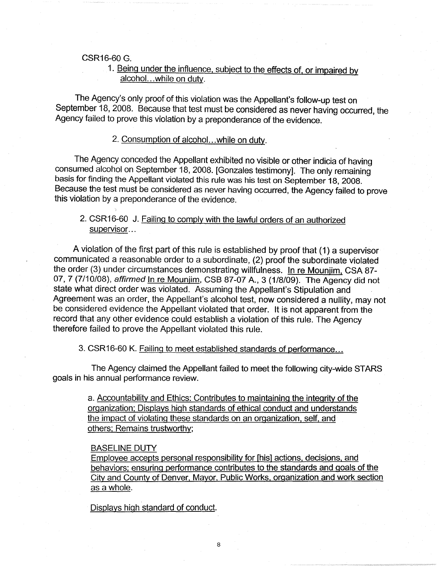#### CSR16-60 G.

# 1. Being under the influence, subject to the effects of, or impaired by alcohol. .. while on duty.

The Agency's only proof of this violation was the Appellant's follow-up test on September 18, 2008. Because that test must be considered as never having occurred, the Agency failed to prove this violation by a preponderance of the evidence.

## 2. Consumption of alcohol...while on duty.

The Agency conceded the Appellant exhibited no visible or other indicia of having consumed alcohol on September 18, 2008. [Gonzales testimony]. The only remaining basis for finding the Appellant violated this rule was his test on September 18, 2008. Because the test must be considered as never having occurred, the Agency failed to prove this violation by a preponderance of the evidence.

# 2. CSR16-60 J. Failing to comply with the lawful orders of an authorized supervisor...

A violation of the first part of this rule is established by proof that ( 1) a supervisor communicated a reasonable order to a subordinate, (2) proof the subordinate violated the order (3) under circumstances demonstrating willfulness. In re Mounjim, CSA 87- 07, 7 (7/10/08), affirmed In re Mounjim, CSB 87-07 A., 3 (1/8/09). The Agency did not state what direct order was violated. Assuming the Appellant's Stipulation and Agreement was an order, the Appellant's alcohol test, now considered a nullity, may not be considered evidence the Appellant violated that order. It is not apparent from the record that any other evidence could establish a violation of this rule. The Agency therefore failed to prove the Appellant violated this rule.

3. CSR16-60 K. Failing to meet established standards of performance ...

The Agency claimed the Appellant failed to meet the following city-wide STARS goals in his annual performance review.

> a. Accountability and Ethics: Contributes to maintaining the integrity of the organization; Displays high standards of ethical conduct and understands the impact of violating these standards on an organization, self, and others; Remains trustworthy;

#### BASELINE DUTY

Employee accepts personal responsibility for [his] actions, decisions, and behaviors; ensuring performance contributes to the standards and goals of the City and County of Denver, Mayor, Public Works, organization and work section as a whole.

Displays high standard of conduct.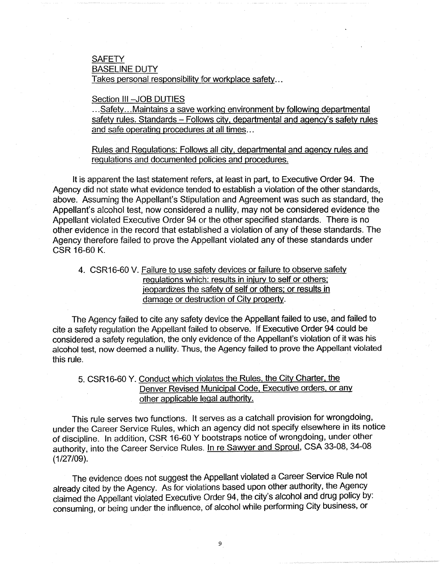## **SAFETY** BASELINE DUTY Takes personal responsibility for workplace safety ...

### Section III - JOB DUTIES

... Safety ... Maintains a save working environment by following departmental safety rules. Standards - Follows city, departmental and agency's safety rules and safe operating procedures at all times...

Rules and Regulations: Follows all city, departmental and agency rules and regulations and documented policies and procedures.

It is apparent the last statement refers, at least in part, to Executive Order 94. The Agency did not state what evidence tended to establish a violation of the other standards, above. Assuming the Appellant's Stipulation and Agreement was such as standard, the Appellant's alcohol test, now considered a nullity, may not be considered evidence the Appellant violated Executive Order 94 or the other specified standards. There is no other evidence in the record that established a violation of any of these standards. The Agency therefore failed to prove the Appellant violated any of these standards under CSR 16-60 K.

4. CSR16-60 V. Failure to use safety devices or failure to observe safety regulations which: results in injury to self or others; jeopardizes the safety of self or others; or results in damage or destruction of City property.

The Agency failed to cite any safety device the Appellant failed to use, and failed to cite a safety regulation the Appellant failed to observe. If Executive Order 94 could be considered a safety regulation, the only evidence of the Appellant's violation of it was his alcohol test, now deemed a nullity. Thus, the Agency failed to prove the Appellant violated this rule.

# 5. CSR16-60 Y. Conduct which violates the Rules, the City Charter, the Denver Revised Municipal Code, Executive orders. or any other applicable legal authority.

This rule serves two functions. It serves as a catchall provision for wrongdoing, under the Career Service Rules, which an agency did not specify elsewhere in its notice of discipline. In addition, CSR 16-60 Y bootstraps notice of wrongdoing, under other authority, into the Career Service Rules. In re Sawyer and Sproul, CSA 33-08, 34-08 (1/27/09).

The evidence does not suggest the Appellant violated a Career Service Rule not already cited by the Agency. As for violations based upon other authority, the Agency claimed the Appellant violated Executive Order 94, the city's alcohol and drug policy by: consuming, or being under the influence, of alcohol while performing City business, or